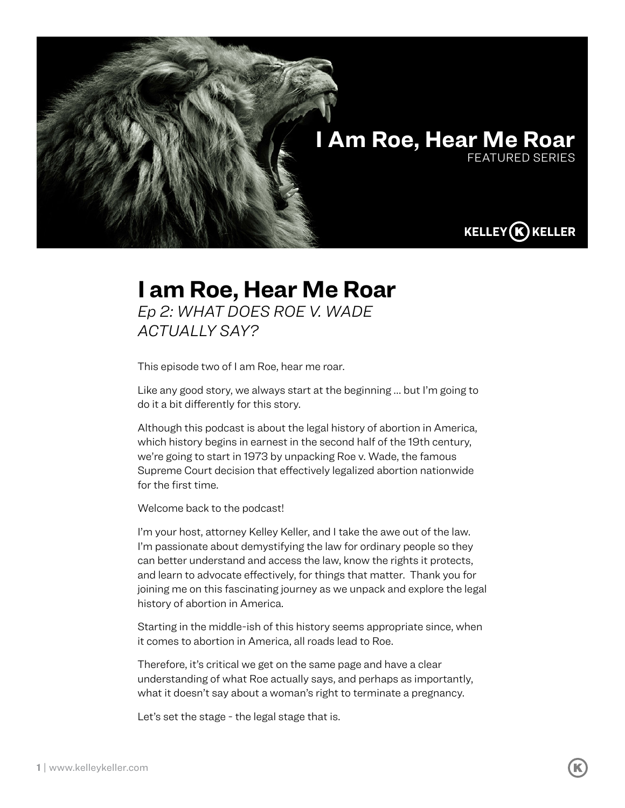

## **I am Roe, Hear Me Roar**

*Ep 2: WHAT DOES ROE V. WADE ACTUALLY SAY?*

This episode two of I am Roe, hear me roar.

Like any good story, we always start at the beginning … but I'm going to do it a bit differently for this story.

Although this podcast is about the legal history of abortion in America, which history begins in earnest in the second half of the 19th century, we're going to start in 1973 by unpacking Roe v. Wade, the famous Supreme Court decision that effectively legalized abortion nationwide for the first time.

Welcome back to the podcast!

I'm your host, attorney Kelley Keller, and I take the awe out of the law. I'm passionate about demystifying the law for ordinary people so they can better understand and access the law, know the rights it protects, and learn to advocate effectively, for things that matter. Thank you for joining me on this fascinating journey as we unpack and explore the legal history of abortion in America.

Starting in the middle-ish of this history seems appropriate since, when it comes to abortion in America, all roads lead to Roe.

Therefore, it's critical we get on the same page and have a clear understanding of what Roe actually says, and perhaps as importantly, what it doesn't say about a woman's right to terminate a pregnancy.

Let's set the stage - the legal stage that is.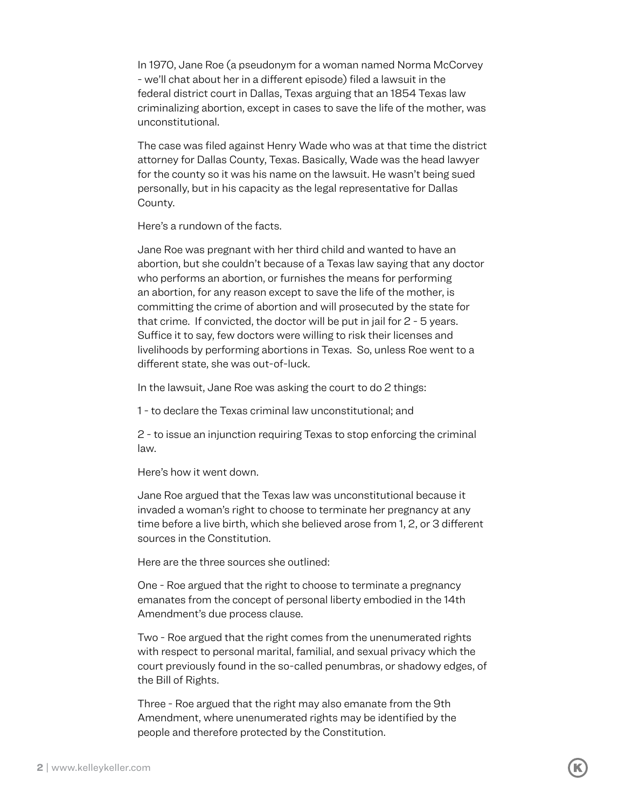In 1970, Jane Roe (a pseudonym for a woman named Norma McCorvey - we'll chat about her in a different episode) filed a lawsuit in the federal district court in Dallas, Texas arguing that an 1854 Texas law criminalizing abortion, except in cases to save the life of the mother, was unconstitutional.

The case was filed against Henry Wade who was at that time the district attorney for Dallas County, Texas. Basically, Wade was the head lawyer for the county so it was his name on the lawsuit. He wasn't being sued personally, but in his capacity as the legal representative for Dallas County.

Here's a rundown of the facts.

Jane Roe was pregnant with her third child and wanted to have an abortion, but she couldn't because of a Texas law saying that any doctor who performs an abortion, or furnishes the means for performing an abortion, for any reason except to save the life of the mother, is committing the crime of abortion and will prosecuted by the state for that crime. If convicted, the doctor will be put in jail for 2 - 5 years. Suffice it to say, few doctors were willing to risk their licenses and livelihoods by performing abortions in Texas. So, unless Roe went to a different state, she was out-of-luck.

In the lawsuit, Jane Roe was asking the court to do 2 things:

1 - to declare the Texas criminal law unconstitutional; and

2 - to issue an injunction requiring Texas to stop enforcing the criminal law.

Here's how it went down.

Jane Roe argued that the Texas law was unconstitutional because it invaded a woman's right to choose to terminate her pregnancy at any time before a live birth, which she believed arose from 1, 2, or 3 different sources in the Constitution.

Here are the three sources she outlined:

One - Roe argued that the right to choose to terminate a pregnancy emanates from the concept of personal liberty embodied in the 14th Amendment's due process clause.

Two - Roe argued that the right comes from the unenumerated rights with respect to personal marital, familial, and sexual privacy which the court previously found in the so-called penumbras, or shadowy edges, of the Bill of Rights.

Three - Roe argued that the right may also emanate from the 9th Amendment, where unenumerated rights may be identified by the people and therefore protected by the Constitution.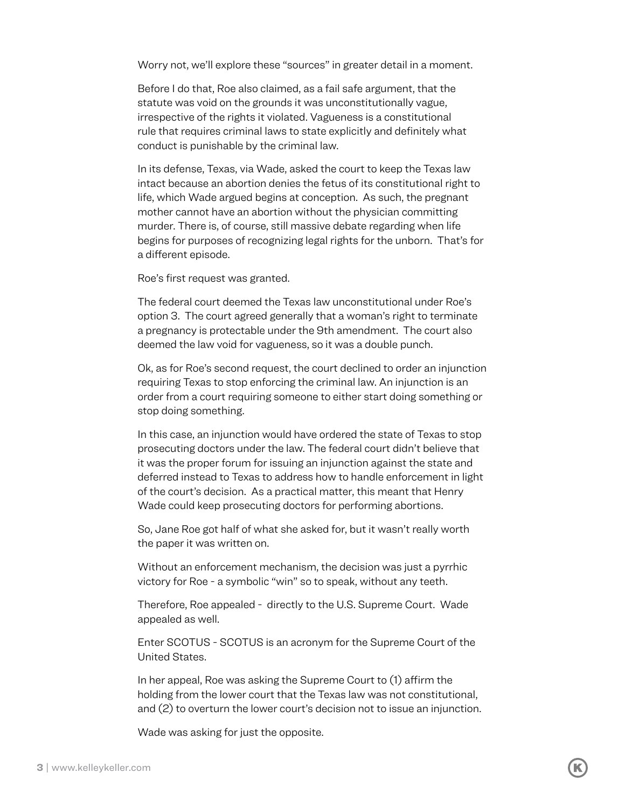Worry not, we'll explore these "sources" in greater detail in a moment.

Before I do that, Roe also claimed, as a fail safe argument, that the statute was void on the grounds it was unconstitutionally vague, irrespective of the rights it violated. Vagueness is a constitutional rule that requires criminal laws to state explicitly and definitely what conduct is punishable by the criminal law.

In its defense, Texas, via Wade, asked the court to keep the Texas law intact because an abortion denies the fetus of its constitutional right to life, which Wade argued begins at conception. As such, the pregnant mother cannot have an abortion without the physician committing murder. There is, of course, still massive debate regarding when life begins for purposes of recognizing legal rights for the unborn. That's for a different episode.

Roe's first request was granted.

The federal court deemed the Texas law unconstitutional under Roe's option 3. The court agreed generally that a woman's right to terminate a pregnancy is protectable under the 9th amendment. The court also deemed the law void for vagueness, so it was a double punch.

Ok, as for Roe's second request, the court declined to order an injunction requiring Texas to stop enforcing the criminal law. An injunction is an order from a court requiring someone to either start doing something or stop doing something.

In this case, an injunction would have ordered the state of Texas to stop prosecuting doctors under the law. The federal court didn't believe that it was the proper forum for issuing an injunction against the state and deferred instead to Texas to address how to handle enforcement in light of the court's decision. As a practical matter, this meant that Henry Wade could keep prosecuting doctors for performing abortions.

So, Jane Roe got half of what she asked for, but it wasn't really worth the paper it was written on.

Without an enforcement mechanism, the decision was just a pyrrhic victory for Roe - a symbolic "win" so to speak, without any teeth.

Therefore, Roe appealed - directly to the U.S. Supreme Court. Wade appealed as well.

Enter SCOTUS - SCOTUS is an acronym for the Supreme Court of the United States.

In her appeal, Roe was asking the Supreme Court to (1) affirm the holding from the lower court that the Texas law was not constitutional, and (2) to overturn the lower court's decision not to issue an injunction.

Wade was asking for just the opposite.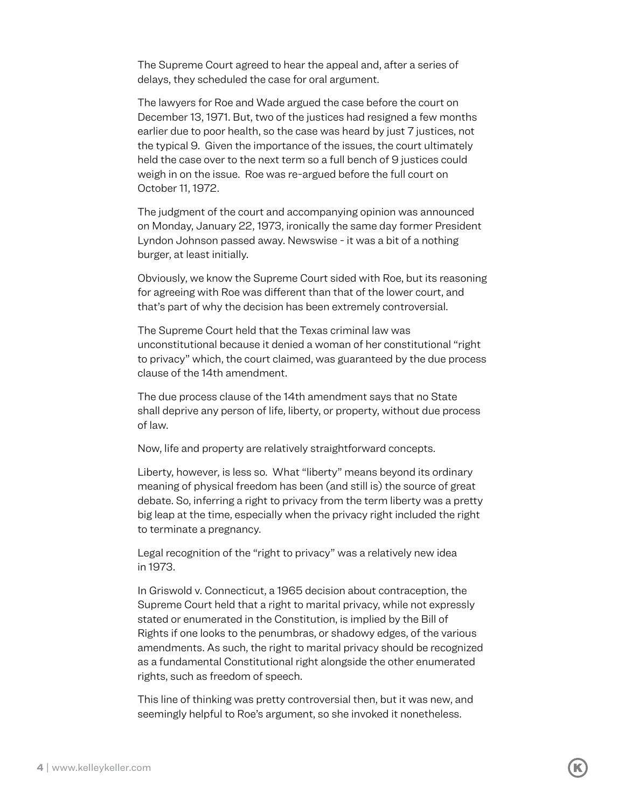The Supreme Court agreed to hear the appeal and, after a series of delays, they scheduled the case for oral argument.

The lawyers for Roe and Wade argued the case before the court on December 13, 1971. But, two of the justices had resigned a few months earlier due to poor health, so the case was heard by just 7 justices, not the typical 9. Given the importance of the issues, the court ultimately held the case over to the next term so a full bench of 9 justices could weigh in on the issue. Roe was re-argued before the full court on October 11, 1972.

The judgment of the court and accompanying opinion was announced on Monday, January 22, 1973, ironically the same day former President Lyndon Johnson passed away. Newswise - it was a bit of a nothing burger, at least initially.

Obviously, we know the Supreme Court sided with Roe, but its reasoning for agreeing with Roe was different than that of the lower court, and that's part of why the decision has been extremely controversial.

The Supreme Court held that the Texas criminal law was unconstitutional because it denied a woman of her constitutional "right to privacy" which, the court claimed, was guaranteed by the due process clause of the 14th amendment.

The due process clause of the 14th amendment says that no State shall deprive any person of life, liberty, or property, without due process of law.

Now, life and property are relatively straightforward concepts.

Liberty, however, is less so. What "liberty" means beyond its ordinary meaning of physical freedom has been (and still is) the source of great debate. So, inferring a right to privacy from the term liberty was a pretty big leap at the time, especially when the privacy right included the right to terminate a pregnancy.

Legal recognition of the "right to privacy" was a relatively new idea in 1973.

In Griswold v. Connecticut, a 1965 decision about contraception, the Supreme Court held that a right to marital privacy, while not expressly stated or enumerated in the Constitution, is implied by the Bill of Rights if one looks to the penumbras, or shadowy edges, of the various amendments. As such, the right to marital privacy should be recognized as a fundamental Constitutional right alongside the other enumerated rights, such as freedom of speech.

This line of thinking was pretty controversial then, but it was new, and seemingly helpful to Roe's argument, so she invoked it nonetheless.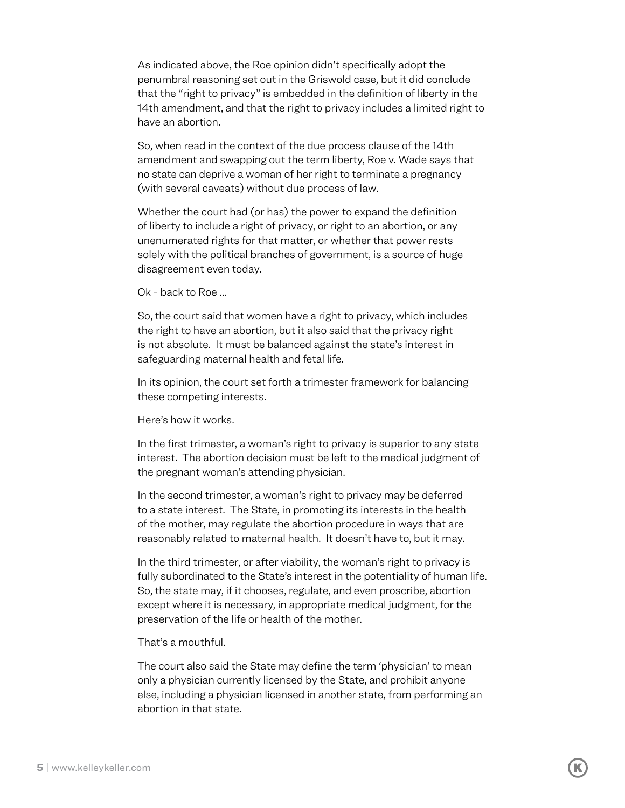As indicated above, the Roe opinion didn't specifically adopt the penumbral reasoning set out in the Griswold case, but it did conclude that the "right to privacy" is embedded in the definition of liberty in the 14th amendment, and that the right to privacy includes a limited right to have an abortion.

So, when read in the context of the due process clause of the 14th amendment and swapping out the term liberty, Roe v. Wade says that no state can deprive a woman of her right to terminate a pregnancy (with several caveats) without due process of law.

Whether the court had (or has) the power to expand the definition of liberty to include a right of privacy, or right to an abortion, or any unenumerated rights for that matter, or whether that power rests solely with the political branches of government, is a source of huge disagreement even today.

Ok - back to Roe …

So, the court said that women have a right to privacy, which includes the right to have an abortion, but it also said that the privacy right is not absolute. It must be balanced against the state's interest in safeguarding maternal health and fetal life.

In its opinion, the court set forth a trimester framework for balancing these competing interests.

Here's how it works.

In the first trimester, a woman's right to privacy is superior to any state interest. The abortion decision must be left to the medical judgment of the pregnant woman's attending physician.

In the second trimester, a woman's right to privacy may be deferred to a state interest. The State, in promoting its interests in the health of the mother, may regulate the abortion procedure in ways that are reasonably related to maternal health. It doesn't have to, but it may.

In the third trimester, or after viability, the woman's right to privacy is fully subordinated to the State's interest in the potentiality of human life. So, the state may, if it chooses, regulate, and even proscribe, abortion except where it is necessary, in appropriate medical judgment, for the preservation of the life or health of the mother.

That's a mouthful.

The court also said the State may define the term 'physician' to mean only a physician currently licensed by the State, and prohibit anyone else, including a physician licensed in another state, from performing an abortion in that state.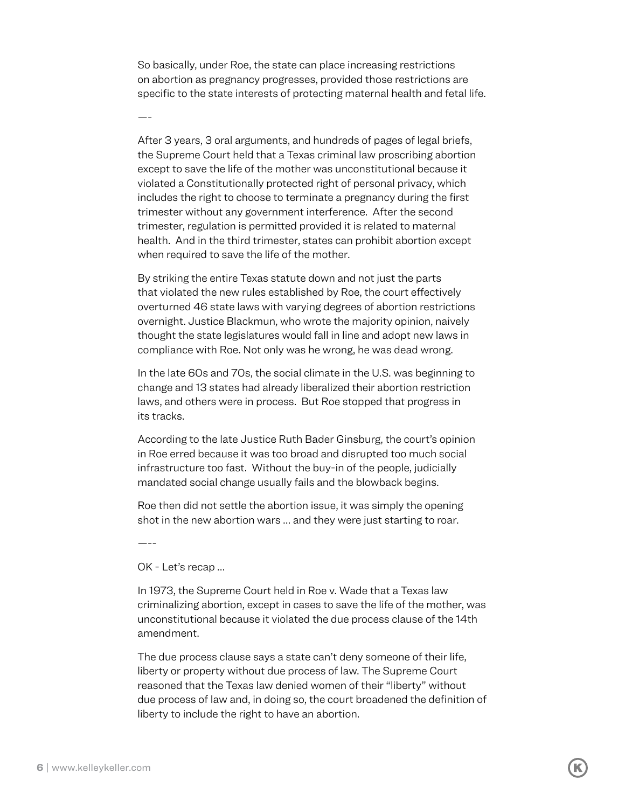So basically, under Roe, the state can place increasing restrictions on abortion as pregnancy progresses, provided those restrictions are specific to the state interests of protecting maternal health and fetal life.

After 3 years, 3 oral arguments, and hundreds of pages of legal briefs, the Supreme Court held that a Texas criminal law proscribing abortion except to save the life of the mother was unconstitutional because it violated a Constitutionally protected right of personal privacy, which includes the right to choose to terminate a pregnancy during the first trimester without any government interference. After the second trimester, regulation is permitted provided it is related to maternal health. And in the third trimester, states can prohibit abortion except when required to save the life of the mother.

By striking the entire Texas statute down and not just the parts that violated the new rules established by Roe, the court effectively overturned 46 state laws with varying degrees of abortion restrictions overnight. Justice Blackmun, who wrote the majority opinion, naively thought the state legislatures would fall in line and adopt new laws in compliance with Roe. Not only was he wrong, he was dead wrong.

In the late 60s and 70s, the social climate in the U.S. was beginning to change and 13 states had already liberalized their abortion restriction laws, and others were in process. But Roe stopped that progress in its tracks.

According to the late Justice Ruth Bader Ginsburg, the court's opinion in Roe erred because it was too broad and disrupted too much social infrastructure too fast. Without the buy-in of the people, judicially mandated social change usually fails and the blowback begins.

Roe then did not settle the abortion issue, it was simply the opening shot in the new abortion wars … and they were just starting to roar.

—--

—-

OK - Let's recap …

In 1973, the Supreme Court held in Roe v. Wade that a Texas law criminalizing abortion, except in cases to save the life of the mother, was unconstitutional because it violated the due process clause of the 14th amendment.

The due process clause says a state can't deny someone of their life, liberty or property without due process of law. The Supreme Court reasoned that the Texas law denied women of their "liberty" without due process of law and, in doing so, the court broadened the definition of liberty to include the right to have an abortion.